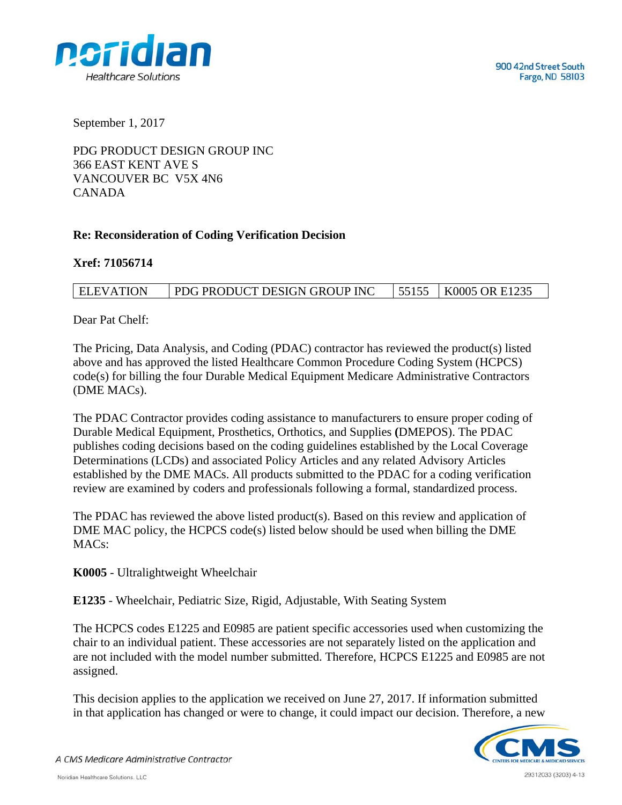

September 1, 2017

PDG PRODUCT DESIGN GROUP INC 366 EAST KENT AVE S VANCOUVER BC V5X 4N6 CANADA

## **Re: Reconsideration of Coding Verification Decision**

**Xref: 71056714** 

## ELEVATION PDG PRODUCT DESIGN GROUP INC 55155 K0005 OR E1235

Dear Pat Chelf:

The Pricing, Data Analysis, and Coding (PDAC) contractor has reviewed the product(s) listed above and has approved the listed Healthcare Common Procedure Coding System (HCPCS) code(s) for billing the four Durable Medical Equipment Medicare Administrative Contractors (DME MACs).

The PDAC Contractor provides coding assistance to manufacturers to ensure proper coding of Durable Medical Equipment, Prosthetics, Orthotics, and Supplies **(**DMEPOS). The PDAC publishes coding decisions based on the coding guidelines established by the Local Coverage Determinations (LCDs) and associated Policy Articles and any related Advisory Articles established by the DME MACs. All products submitted to the PDAC for a coding verification review are examined by coders and professionals following a formal, standardized process.

The PDAC has reviewed the above listed product(s). Based on this review and application of DME MAC policy, the HCPCS code(s) listed below should be used when billing the DME MAC<sub>s</sub>:

**K0005** - Ultralightweight Wheelchair

**E1235** - Wheelchair, Pediatric Size, Rigid, Adjustable, With Seating System

The HCPCS codes E1225 and E0985 are patient specific accessories used when customizing the chair to an individual patient. These accessories are not separately listed on the application and are not included with the model number submitted. Therefore, HCPCS E1225 and E0985 are not assigned.

This decision applies to the application we received on June 27, 2017. If information submitted in that application has changed or were to change, it could impact our decision. Therefore, a new



A CMS Medicare Administrative Contractor